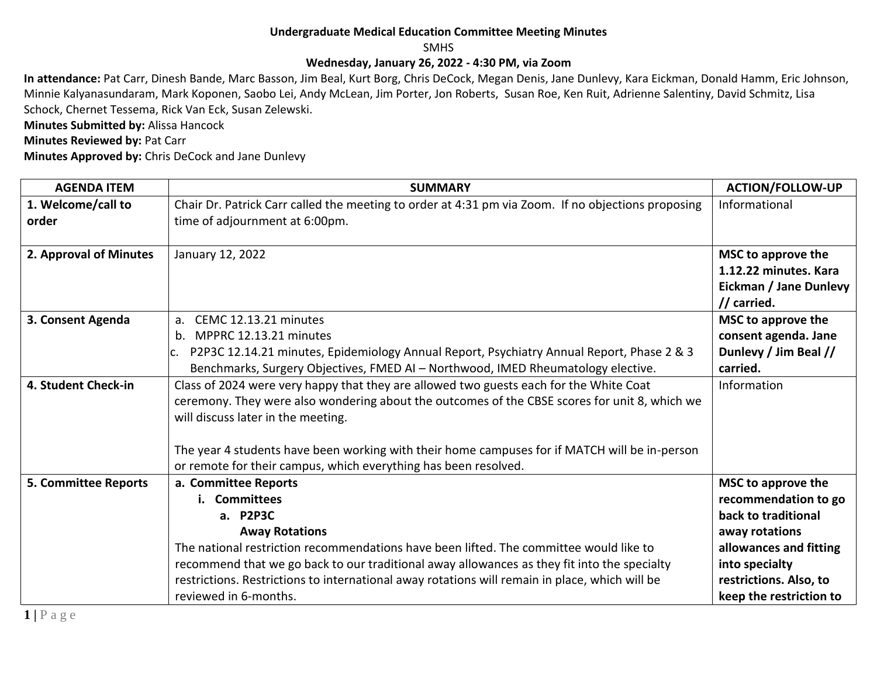## **Undergraduate Medical Education Committee Meeting Minutes**

SMHS

## **Wednesday, January 26, 2022 - 4:30 PM, via Zoom**

**In attendance:** Pat Carr, Dinesh Bande, Marc Basson, Jim Beal, Kurt Borg, Chris DeCock, Megan Denis, Jane Dunlevy, Kara Eickman, Donald Hamm, Eric Johnson, Minnie Kalyanasundaram, Mark Koponen, Saobo Lei, Andy McLean, Jim Porter, Jon Roberts, Susan Roe, Ken Ruit, Adrienne Salentiny, David Schmitz, Lisa Schock, Chernet Tessema, Rick Van Eck, Susan Zelewski.

**Minutes Submitted by:** Alissa Hancock

**Minutes Reviewed by: Pat Carr** 

**Minutes Approved by:** Chris DeCock and Jane Dunlevy

| <b>AGENDA ITEM</b>          | <b>SUMMARY</b>                                                                                     | <b>ACTION/FOLLOW-UP</b> |
|-----------------------------|----------------------------------------------------------------------------------------------------|-------------------------|
| 1. Welcome/call to          | Chair Dr. Patrick Carr called the meeting to order at 4:31 pm via Zoom. If no objections proposing | Informational           |
| order                       | time of adjournment at 6:00pm.                                                                     |                         |
|                             |                                                                                                    |                         |
| 2. Approval of Minutes      | January 12, 2022                                                                                   | MSC to approve the      |
|                             |                                                                                                    | 1.12.22 minutes. Kara   |
|                             |                                                                                                    | Eickman / Jane Dunlevy  |
|                             |                                                                                                    | // carried.             |
| 3. Consent Agenda           | CEMC 12.13.21 minutes<br>a.                                                                        | MSC to approve the      |
|                             | MPPRC 12.13.21 minutes<br>$h_{\cdot}$                                                              | consent agenda. Jane    |
|                             | P2P3C 12.14.21 minutes, Epidemiology Annual Report, Psychiatry Annual Report, Phase 2 & 3<br>IC.   | Dunlevy / Jim Beal //   |
|                             | Benchmarks, Surgery Objectives, FMED AI - Northwood, IMED Rheumatology elective.                   | carried.                |
| 4. Student Check-in         | Class of 2024 were very happy that they are allowed two guests each for the White Coat             | Information             |
|                             | ceremony. They were also wondering about the outcomes of the CBSE scores for unit 8, which we      |                         |
|                             | will discuss later in the meeting.                                                                 |                         |
|                             |                                                                                                    |                         |
|                             | The year 4 students have been working with their home campuses for if MATCH will be in-person      |                         |
|                             | or remote for their campus, which everything has been resolved.                                    |                         |
| <b>5. Committee Reports</b> | a. Committee Reports                                                                               | MSC to approve the      |
|                             | i. Committees                                                                                      | recommendation to go    |
|                             | a. P2P3C                                                                                           | back to traditional     |
|                             | <b>Away Rotations</b>                                                                              | away rotations          |
|                             | The national restriction recommendations have been lifted. The committee would like to             | allowances and fitting  |
|                             | recommend that we go back to our traditional away allowances as they fit into the specialty        | into specialty          |
|                             | restrictions. Restrictions to international away rotations will remain in place, which will be     | restrictions. Also, to  |
|                             | reviewed in 6-months.                                                                              | keep the restriction to |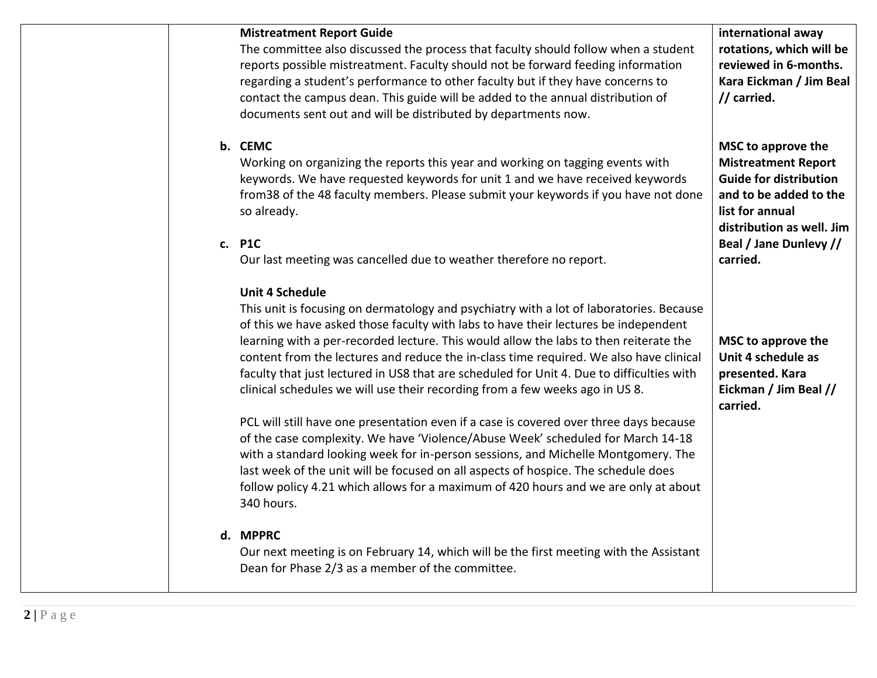| <b>Mistreatment Report Guide</b><br>The committee also discussed the process that faculty should follow when a student<br>reports possible mistreatment. Faculty should not be forward feeding information<br>regarding a student's performance to other faculty but if they have concerns to<br>contact the campus dean. This guide will be added to the annual distribution of<br>documents sent out and will be distributed by departments now.                                                                                                                                                                                                                 | international away<br>rotations, which will be<br>reviewed in 6-months.<br>Kara Eickman / Jim Beal<br>// carried.                                                                                 |
|--------------------------------------------------------------------------------------------------------------------------------------------------------------------------------------------------------------------------------------------------------------------------------------------------------------------------------------------------------------------------------------------------------------------------------------------------------------------------------------------------------------------------------------------------------------------------------------------------------------------------------------------------------------------|---------------------------------------------------------------------------------------------------------------------------------------------------------------------------------------------------|
| b. CEMC<br>Working on organizing the reports this year and working on tagging events with<br>keywords. We have requested keywords for unit 1 and we have received keywords<br>from 38 of the 48 faculty members. Please submit your keywords if you have not done<br>so already.<br>c. P1C<br>Our last meeting was cancelled due to weather therefore no report.                                                                                                                                                                                                                                                                                                   | MSC to approve the<br><b>Mistreatment Report</b><br><b>Guide for distribution</b><br>and to be added to the<br>list for annual<br>distribution as well. Jim<br>Beal / Jane Dunlevy //<br>carried. |
| <b>Unit 4 Schedule</b><br>This unit is focusing on dermatology and psychiatry with a lot of laboratories. Because<br>of this we have asked those faculty with labs to have their lectures be independent<br>learning with a per-recorded lecture. This would allow the labs to then reiterate the<br>content from the lectures and reduce the in-class time required. We also have clinical<br>faculty that just lectured in US8 that are scheduled for Unit 4. Due to difficulties with<br>clinical schedules we will use their recording from a few weeks ago in US 8.<br>PCL will still have one presentation even if a case is covered over three days because | MSC to approve the<br>Unit 4 schedule as<br>presented. Kara<br>Eickman / Jim Beal //<br>carried.                                                                                                  |
| of the case complexity. We have 'Violence/Abuse Week' scheduled for March 14-18<br>with a standard looking week for in-person sessions, and Michelle Montgomery. The<br>last week of the unit will be focused on all aspects of hospice. The schedule does<br>follow policy 4.21 which allows for a maximum of 420 hours and we are only at about<br>340 hours.                                                                                                                                                                                                                                                                                                    |                                                                                                                                                                                                   |
| d. MPPRC<br>Our next meeting is on February 14, which will be the first meeting with the Assistant<br>Dean for Phase 2/3 as a member of the committee.                                                                                                                                                                                                                                                                                                                                                                                                                                                                                                             |                                                                                                                                                                                                   |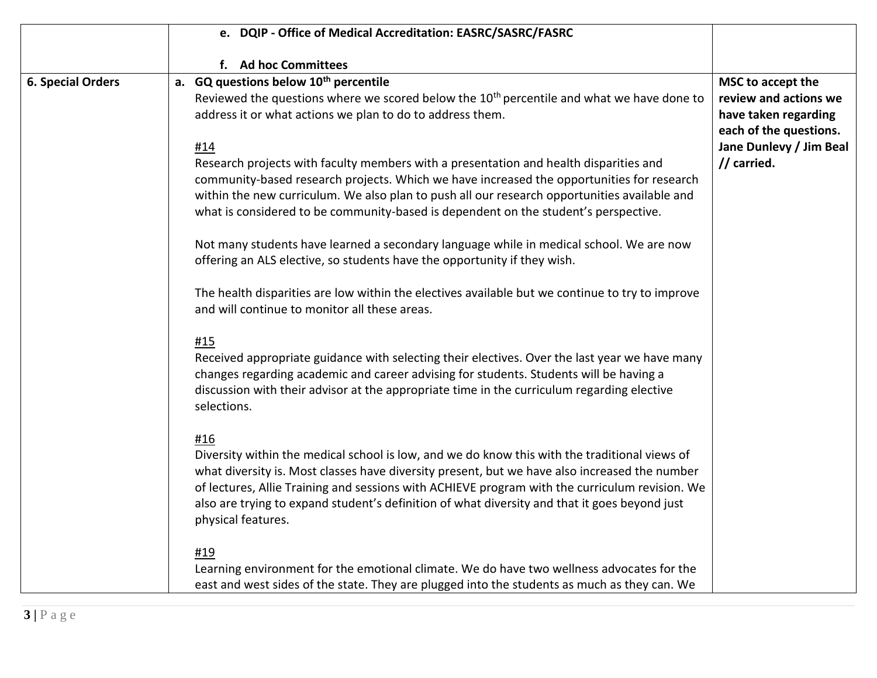|                          | e. DQIP - Office of Medical Accreditation: EASRC/SASRC/FASRC                                                                                                                                                                                                                                                                                                                                                                   |                                                                                              |
|--------------------------|--------------------------------------------------------------------------------------------------------------------------------------------------------------------------------------------------------------------------------------------------------------------------------------------------------------------------------------------------------------------------------------------------------------------------------|----------------------------------------------------------------------------------------------|
|                          | f. Ad hoc Committees                                                                                                                                                                                                                                                                                                                                                                                                           |                                                                                              |
| <b>6. Special Orders</b> | a. GQ questions below 10 <sup>th</sup> percentile<br>Reviewed the questions where we scored below the 10 <sup>th</sup> percentile and what we have done to<br>address it or what actions we plan to do to address them.                                                                                                                                                                                                        | MSC to accept the<br>review and actions we<br>have taken regarding<br>each of the questions. |
|                          | #14<br>Research projects with faculty members with a presentation and health disparities and<br>community-based research projects. Which we have increased the opportunities for research<br>within the new curriculum. We also plan to push all our research opportunities available and<br>what is considered to be community-based is dependent on the student's perspective.                                               | Jane Dunlevy / Jim Beal<br>// carried.                                                       |
|                          | Not many students have learned a secondary language while in medical school. We are now<br>offering an ALS elective, so students have the opportunity if they wish.                                                                                                                                                                                                                                                            |                                                                                              |
|                          | The health disparities are low within the electives available but we continue to try to improve<br>and will continue to monitor all these areas.                                                                                                                                                                                                                                                                               |                                                                                              |
|                          | #15<br>Received appropriate guidance with selecting their electives. Over the last year we have many<br>changes regarding academic and career advising for students. Students will be having a<br>discussion with their advisor at the appropriate time in the curriculum regarding elective<br>selections.                                                                                                                    |                                                                                              |
|                          | #16<br>Diversity within the medical school is low, and we do know this with the traditional views of<br>what diversity is. Most classes have diversity present, but we have also increased the number<br>of lectures, Allie Training and sessions with ACHIEVE program with the curriculum revision. We<br>also are trying to expand student's definition of what diversity and that it goes beyond just<br>physical features. |                                                                                              |
|                          | #19<br>Learning environment for the emotional climate. We do have two wellness advocates for the<br>east and west sides of the state. They are plugged into the students as much as they can. We                                                                                                                                                                                                                               |                                                                                              |
| $3 P \text{ age}$        |                                                                                                                                                                                                                                                                                                                                                                                                                                |                                                                                              |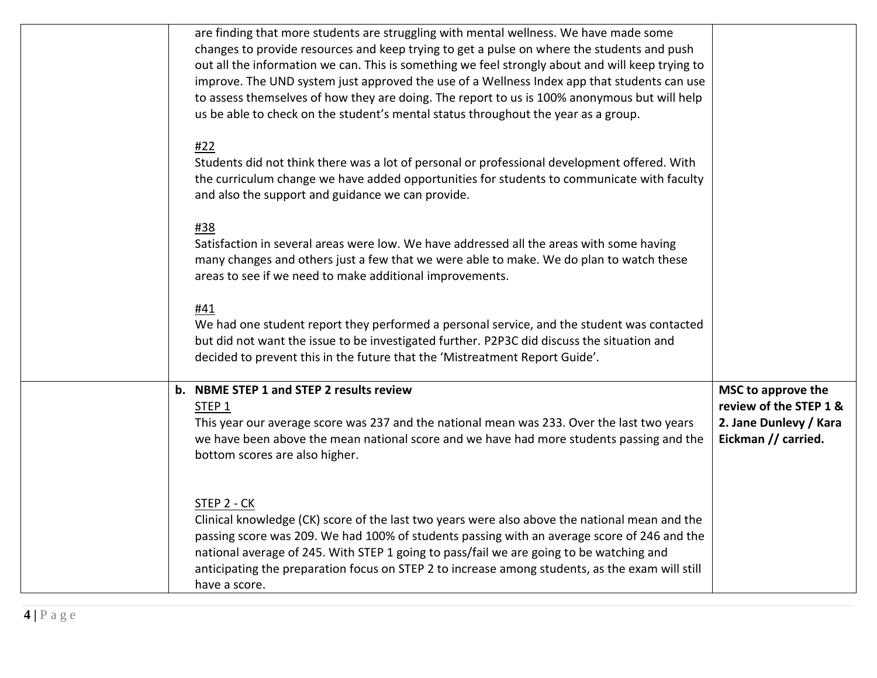| are finding that more students are struggling with mental wellness. We have made some<br>changes to provide resources and keep trying to get a pulse on where the students and push<br>out all the information we can. This is something we feel strongly about and will keep trying to<br>improve. The UND system just approved the use of a Wellness Index app that students can use<br>to assess themselves of how they are doing. The report to us is 100% anonymous but will help<br>us be able to check on the student's mental status throughout the year as a group. |                                                                                               |
|------------------------------------------------------------------------------------------------------------------------------------------------------------------------------------------------------------------------------------------------------------------------------------------------------------------------------------------------------------------------------------------------------------------------------------------------------------------------------------------------------------------------------------------------------------------------------|-----------------------------------------------------------------------------------------------|
| #22<br>Students did not think there was a lot of personal or professional development offered. With<br>the curriculum change we have added opportunities for students to communicate with faculty<br>and also the support and guidance we can provide.                                                                                                                                                                                                                                                                                                                       |                                                                                               |
| #38<br>Satisfaction in several areas were low. We have addressed all the areas with some having<br>many changes and others just a few that we were able to make. We do plan to watch these<br>areas to see if we need to make additional improvements.                                                                                                                                                                                                                                                                                                                       |                                                                                               |
| #41<br>We had one student report they performed a personal service, and the student was contacted<br>but did not want the issue to be investigated further. P2P3C did discuss the situation and<br>decided to prevent this in the future that the 'Mistreatment Report Guide'.                                                                                                                                                                                                                                                                                               |                                                                                               |
| b. NBME STEP 1 and STEP 2 results review<br>$STEP_1$<br>This year our average score was 237 and the national mean was 233. Over the last two years<br>we have been above the mean national score and we have had more students passing and the<br>bottom scores are also higher.                                                                                                                                                                                                                                                                                             | MSC to approve the<br>review of the STEP 1 &<br>2. Jane Dunlevy / Kara<br>Eickman // carried. |
| STEP 2 - CK<br>Clinical knowledge (CK) score of the last two years were also above the national mean and the<br>passing score was 209. We had 100% of students passing with an average score of 246 and the<br>national average of 245. With STEP 1 going to pass/fail we are going to be watching and<br>anticipating the preparation focus on STEP 2 to increase among students, as the exam will still<br>have a score.                                                                                                                                                   |                                                                                               |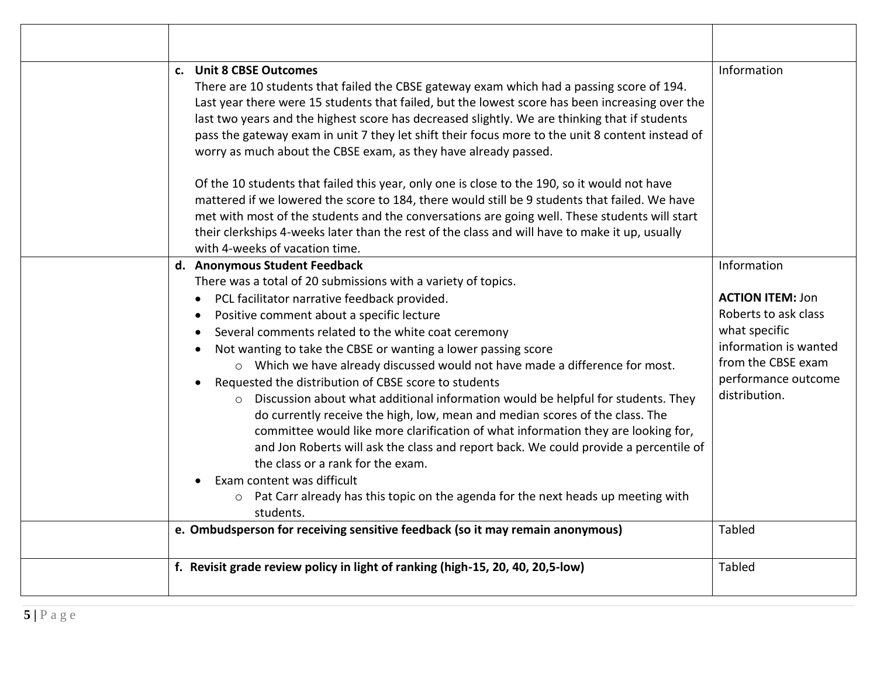| Information<br>c. Unit 8 CBSE Outcomes<br>There are 10 students that failed the CBSE gateway exam which had a passing score of 194.<br>Last year there were 15 students that failed, but the lowest score has been increasing over the<br>last two years and the highest score has decreased slightly. We are thinking that if students<br>pass the gateway exam in unit 7 they let shift their focus more to the unit 8 content instead of<br>worry as much about the CBSE exam, as they have already passed.<br>Of the 10 students that failed this year, only one is close to the 190, so it would not have<br>mattered if we lowered the score to 184, there would still be 9 students that failed. We have<br>met with most of the students and the conversations are going well. These students will start<br>their clerkships 4-weeks later than the rest of the class and will have to make it up, usually<br>with 4-weeks of vacation time.<br>Information<br>d. Anonymous Student Feedback<br>There was a total of 20 submissions with a variety of topics.<br>PCL facilitator narrative feedback provided.<br><b>ACTION ITEM: Jon</b><br>Roberts to ask class<br>Positive comment about a specific lecture<br>what specific<br>Several comments related to the white coat ceremony<br>information is wanted<br>Not wanting to take the CBSE or wanting a lower passing score<br>from the CBSE exam<br>o Which we have already discussed would not have made a difference for most.<br>performance outcome<br>Requested the distribution of CBSE score to students<br>distribution.<br>o Discussion about what additional information would be helpful for students. They<br>do currently receive the high, low, mean and median scores of the class. The<br>committee would like more clarification of what information they are looking for,<br>and Jon Roberts will ask the class and report back. We could provide a percentile of<br>the class or a rank for the exam.<br>Exam content was difficult<br>o Pat Carr already has this topic on the agenda for the next heads up meeting with<br>students.<br>e. Ombudsperson for receiving sensitive feedback (so it may remain anonymous)<br><b>Tabled</b> |
|--------------------------------------------------------------------------------------------------------------------------------------------------------------------------------------------------------------------------------------------------------------------------------------------------------------------------------------------------------------------------------------------------------------------------------------------------------------------------------------------------------------------------------------------------------------------------------------------------------------------------------------------------------------------------------------------------------------------------------------------------------------------------------------------------------------------------------------------------------------------------------------------------------------------------------------------------------------------------------------------------------------------------------------------------------------------------------------------------------------------------------------------------------------------------------------------------------------------------------------------------------------------------------------------------------------------------------------------------------------------------------------------------------------------------------------------------------------------------------------------------------------------------------------------------------------------------------------------------------------------------------------------------------------------------------------------------------------------------------------------------------------------------------------------------------------------------------------------------------------------------------------------------------------------------------------------------------------------------------------------------------------------------------------------------------------------------------------------------------------------------------------------------------------------------------------------------------------------------|
|                                                                                                                                                                                                                                                                                                                                                                                                                                                                                                                                                                                                                                                                                                                                                                                                                                                                                                                                                                                                                                                                                                                                                                                                                                                                                                                                                                                                                                                                                                                                                                                                                                                                                                                                                                                                                                                                                                                                                                                                                                                                                                                                                                                                                          |
|                                                                                                                                                                                                                                                                                                                                                                                                                                                                                                                                                                                                                                                                                                                                                                                                                                                                                                                                                                                                                                                                                                                                                                                                                                                                                                                                                                                                                                                                                                                                                                                                                                                                                                                                                                                                                                                                                                                                                                                                                                                                                                                                                                                                                          |
|                                                                                                                                                                                                                                                                                                                                                                                                                                                                                                                                                                                                                                                                                                                                                                                                                                                                                                                                                                                                                                                                                                                                                                                                                                                                                                                                                                                                                                                                                                                                                                                                                                                                                                                                                                                                                                                                                                                                                                                                                                                                                                                                                                                                                          |